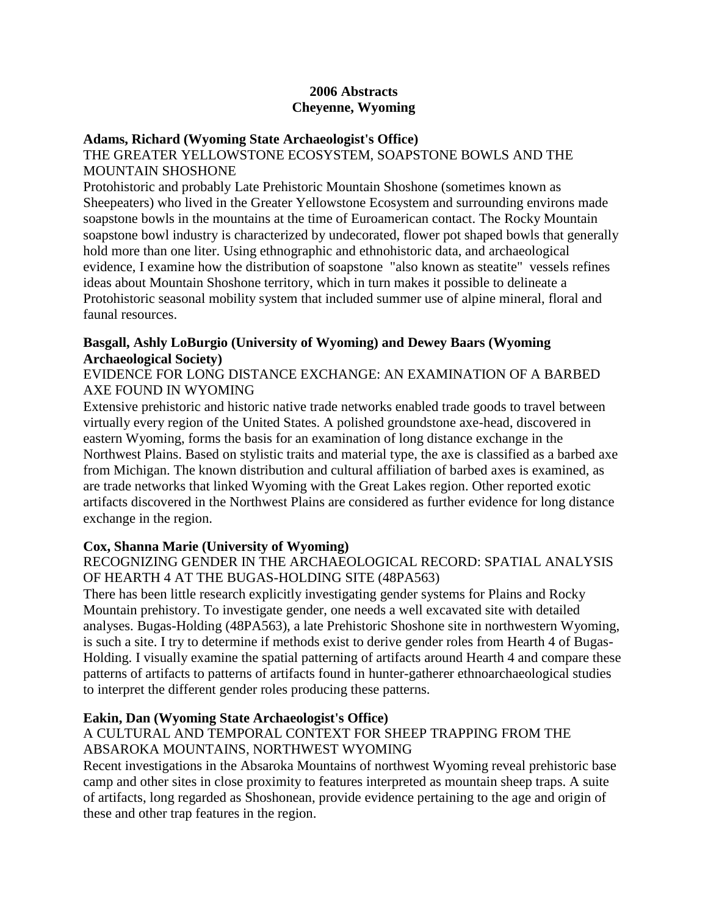### **2006 Abstracts Cheyenne, Wyoming**

#### **Adams, Richard (Wyoming State Archaeologist's Office)**

### THE GREATER YELLOWSTONE ECOSYSTEM, SOAPSTONE BOWLS AND THE MOUNTAIN SHOSHONE

Protohistoric and probably Late Prehistoric Mountain Shoshone (sometimes known as Sheepeaters) who lived in the Greater Yellowstone Ecosystem and surrounding environs made soapstone bowls in the mountains at the time of Euroamerican contact. The Rocky Mountain soapstone bowl industry is characterized by undecorated, flower pot shaped bowls that generally hold more than one liter. Using ethnographic and ethnohistoric data, and archaeological evidence, I examine how the distribution of soapstone "also known as steatite" vessels refines ideas about Mountain Shoshone territory, which in turn makes it possible to delineate a Protohistoric seasonal mobility system that included summer use of alpine mineral, floral and faunal resources.

# **Basgall, Ashly LoBurgio (University of Wyoming) and Dewey Baars (Wyoming Archaeological Society)**

### EVIDENCE FOR LONG DISTANCE EXCHANGE: AN EXAMINATION OF A BARBED AXE FOUND IN WYOMING

Extensive prehistoric and historic native trade networks enabled trade goods to travel between virtually every region of the United States. A polished groundstone axe-head, discovered in eastern Wyoming, forms the basis for an examination of long distance exchange in the Northwest Plains. Based on stylistic traits and material type, the axe is classified as a barbed axe from Michigan. The known distribution and cultural affiliation of barbed axes is examined, as are trade networks that linked Wyoming with the Great Lakes region. Other reported exotic artifacts discovered in the Northwest Plains are considered as further evidence for long distance exchange in the region.

# **Cox, Shanna Marie (University of Wyoming)**

# RECOGNIZING GENDER IN THE ARCHAEOLOGICAL RECORD: SPATIAL ANALYSIS OF HEARTH 4 AT THE BUGAS-HOLDING SITE (48PA563)

There has been little research explicitly investigating gender systems for Plains and Rocky Mountain prehistory. To investigate gender, one needs a well excavated site with detailed analyses. Bugas-Holding (48PA563), a late Prehistoric Shoshone site in northwestern Wyoming, is such a site. I try to determine if methods exist to derive gender roles from Hearth 4 of Bugas-Holding. I visually examine the spatial patterning of artifacts around Hearth 4 and compare these patterns of artifacts to patterns of artifacts found in hunter-gatherer ethnoarchaeological studies to interpret the different gender roles producing these patterns.

# **Eakin, Dan (Wyoming State Archaeologist's Office)**

### A CULTURAL AND TEMPORAL CONTEXT FOR SHEEP TRAPPING FROM THE ABSAROKA MOUNTAINS, NORTHWEST WYOMING

Recent investigations in the Absaroka Mountains of northwest Wyoming reveal prehistoric base camp and other sites in close proximity to features interpreted as mountain sheep traps. A suite of artifacts, long regarded as Shoshonean, provide evidence pertaining to the age and origin of these and other trap features in the region.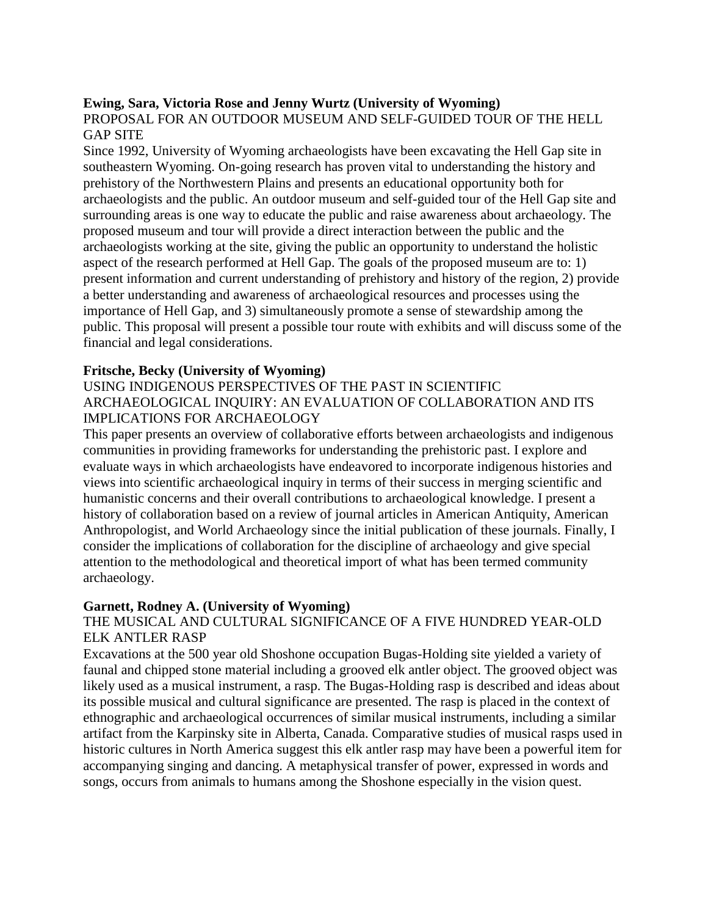### **Ewing, Sara, Victoria Rose and Jenny Wurtz (University of Wyoming)**

### PROPOSAL FOR AN OUTDOOR MUSEUM AND SELF-GUIDED TOUR OF THE HELL GAP SITE

Since 1992, University of Wyoming archaeologists have been excavating the Hell Gap site in southeastern Wyoming. On-going research has proven vital to understanding the history and prehistory of the Northwestern Plains and presents an educational opportunity both for archaeologists and the public. An outdoor museum and self-guided tour of the Hell Gap site and surrounding areas is one way to educate the public and raise awareness about archaeology. The proposed museum and tour will provide a direct interaction between the public and the archaeologists working at the site, giving the public an opportunity to understand the holistic aspect of the research performed at Hell Gap. The goals of the proposed museum are to: 1) present information and current understanding of prehistory and history of the region, 2) provide a better understanding and awareness of archaeological resources and processes using the importance of Hell Gap, and 3) simultaneously promote a sense of stewardship among the public. This proposal will present a possible tour route with exhibits and will discuss some of the financial and legal considerations.

#### **Fritsche, Becky (University of Wyoming)**

#### USING INDIGENOUS PERSPECTIVES OF THE PAST IN SCIENTIFIC ARCHAEOLOGICAL INQUIRY: AN EVALUATION OF COLLABORATION AND ITS IMPLICATIONS FOR ARCHAEOLOGY

This paper presents an overview of collaborative efforts between archaeologists and indigenous communities in providing frameworks for understanding the prehistoric past. I explore and evaluate ways in which archaeologists have endeavored to incorporate indigenous histories and views into scientific archaeological inquiry in terms of their success in merging scientific and humanistic concerns and their overall contributions to archaeological knowledge. I present a history of collaboration based on a review of journal articles in American Antiquity, American Anthropologist, and World Archaeology since the initial publication of these journals. Finally, I consider the implications of collaboration for the discipline of archaeology and give special attention to the methodological and theoretical import of what has been termed community archaeology.

#### **Garnett, Rodney A. (University of Wyoming)**

### THE MUSICAL AND CULTURAL SIGNIFICANCE OF A FIVE HUNDRED YEAR-OLD ELK ANTLER RASP

Excavations at the 500 year old Shoshone occupation Bugas-Holding site yielded a variety of faunal and chipped stone material including a grooved elk antler object. The grooved object was likely used as a musical instrument, a rasp. The Bugas-Holding rasp is described and ideas about its possible musical and cultural significance are presented. The rasp is placed in the context of ethnographic and archaeological occurrences of similar musical instruments, including a similar artifact from the Karpinsky site in Alberta, Canada. Comparative studies of musical rasps used in historic cultures in North America suggest this elk antler rasp may have been a powerful item for accompanying singing and dancing. A metaphysical transfer of power, expressed in words and songs, occurs from animals to humans among the Shoshone especially in the vision quest.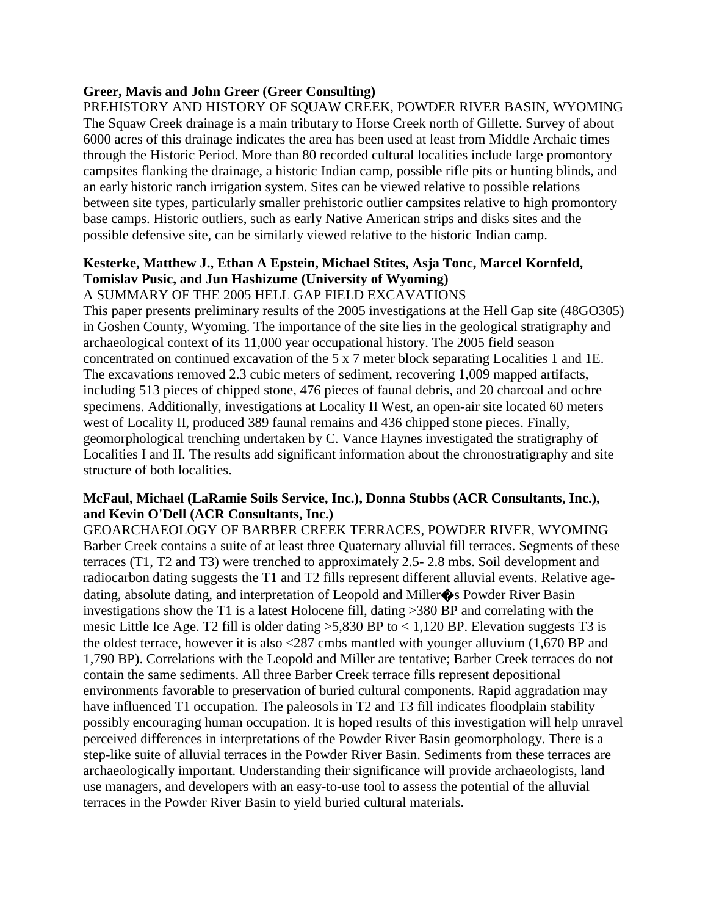# **Greer, Mavis and John Greer (Greer Consulting)**

PREHISTORY AND HISTORY OF SQUAW CREEK, POWDER RIVER BASIN, WYOMING The Squaw Creek drainage is a main tributary to Horse Creek north of Gillette. Survey of about 6000 acres of this drainage indicates the area has been used at least from Middle Archaic times through the Historic Period. More than 80 recorded cultural localities include large promontory campsites flanking the drainage, a historic Indian camp, possible rifle pits or hunting blinds, and an early historic ranch irrigation system. Sites can be viewed relative to possible relations between site types, particularly smaller prehistoric outlier campsites relative to high promontory base camps. Historic outliers, such as early Native American strips and disks sites and the possible defensive site, can be similarly viewed relative to the historic Indian camp.

# **Kesterke, Matthew J., Ethan A Epstein, Michael Stites, Asja Tonc, Marcel Kornfeld, Tomislav Pusic, and Jun Hashizume (University of Wyoming)**

### A SUMMARY OF THE 2005 HELL GAP FIELD EXCAVATIONS

This paper presents preliminary results of the 2005 investigations at the Hell Gap site (48GO305) in Goshen County, Wyoming. The importance of the site lies in the geological stratigraphy and archaeological context of its 11,000 year occupational history. The 2005 field season concentrated on continued excavation of the 5 x 7 meter block separating Localities 1 and 1E. The excavations removed 2.3 cubic meters of sediment, recovering 1,009 mapped artifacts, including 513 pieces of chipped stone, 476 pieces of faunal debris, and 20 charcoal and ochre specimens. Additionally, investigations at Locality II West, an open-air site located 60 meters west of Locality II, produced 389 faunal remains and 436 chipped stone pieces. Finally, geomorphological trenching undertaken by C. Vance Haynes investigated the stratigraphy of Localities I and II. The results add significant information about the chronostratigraphy and site structure of both localities.

### **McFaul, Michael (LaRamie Soils Service, Inc.), Donna Stubbs (ACR Consultants, Inc.), and Kevin O'Dell (ACR Consultants, Inc.)**

GEOARCHAEOLOGY OF BARBER CREEK TERRACES, POWDER RIVER, WYOMING Barber Creek contains a suite of at least three Quaternary alluvial fill terraces. Segments of these terraces (T1, T2 and T3) were trenched to approximately 2.5- 2.8 mbs. Soil development and radiocarbon dating suggests the T1 and T2 fills represent different alluvial events. Relative agedating, absolute dating, and interpretation of Leopold and Miller�s Powder River Basin investigations show the T1 is a latest Holocene fill, dating >380 BP and correlating with the mesic Little Ice Age. T2 fill is older dating  $>5,830$  BP to  $< 1,120$  BP. Elevation suggests T3 is the oldest terrace, however it is also <287 cmbs mantled with younger alluvium (1,670 BP and 1,790 BP). Correlations with the Leopold and Miller are tentative; Barber Creek terraces do not contain the same sediments. All three Barber Creek terrace fills represent depositional environments favorable to preservation of buried cultural components. Rapid aggradation may have influenced T1 occupation. The paleosols in T2 and T3 fill indicates floodplain stability possibly encouraging human occupation. It is hoped results of this investigation will help unravel perceived differences in interpretations of the Powder River Basin geomorphology. There is a step-like suite of alluvial terraces in the Powder River Basin. Sediments from these terraces are archaeologically important. Understanding their significance will provide archaeologists, land use managers, and developers with an easy-to-use tool to assess the potential of the alluvial terraces in the Powder River Basin to yield buried cultural materials.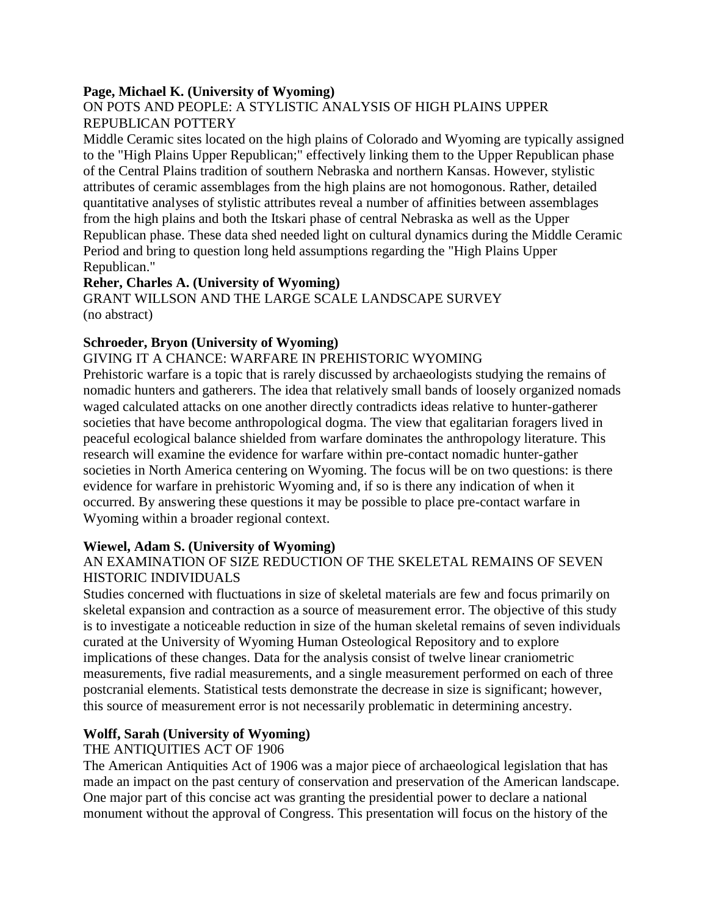### **Page, Michael K. (University of Wyoming)**

### ON POTS AND PEOPLE: A STYLISTIC ANALYSIS OF HIGH PLAINS UPPER REPUBLICAN POTTERY

Middle Ceramic sites located on the high plains of Colorado and Wyoming are typically assigned to the "High Plains Upper Republican;" effectively linking them to the Upper Republican phase of the Central Plains tradition of southern Nebraska and northern Kansas. However, stylistic attributes of ceramic assemblages from the high plains are not homogonous. Rather, detailed quantitative analyses of stylistic attributes reveal a number of affinities between assemblages from the high plains and both the Itskari phase of central Nebraska as well as the Upper Republican phase. These data shed needed light on cultural dynamics during the Middle Ceramic Period and bring to question long held assumptions regarding the "High Plains Upper Republican."

### **Reher, Charles A. (University of Wyoming)**

GRANT WILLSON AND THE LARGE SCALE LANDSCAPE SURVEY (no abstract)

#### **Schroeder, Bryon (University of Wyoming)**

#### GIVING IT A CHANCE: WARFARE IN PREHISTORIC WYOMING

Prehistoric warfare is a topic that is rarely discussed by archaeologists studying the remains of nomadic hunters and gatherers. The idea that relatively small bands of loosely organized nomads waged calculated attacks on one another directly contradicts ideas relative to hunter-gatherer societies that have become anthropological dogma. The view that egalitarian foragers lived in peaceful ecological balance shielded from warfare dominates the anthropology literature. This research will examine the evidence for warfare within pre-contact nomadic hunter-gather societies in North America centering on Wyoming. The focus will be on two questions: is there evidence for warfare in prehistoric Wyoming and, if so is there any indication of when it occurred. By answering these questions it may be possible to place pre-contact warfare in Wyoming within a broader regional context.

#### **Wiewel, Adam S. (University of Wyoming)**

### AN EXAMINATION OF SIZE REDUCTION OF THE SKELETAL REMAINS OF SEVEN HISTORIC INDIVIDUALS

Studies concerned with fluctuations in size of skeletal materials are few and focus primarily on skeletal expansion and contraction as a source of measurement error. The objective of this study is to investigate a noticeable reduction in size of the human skeletal remains of seven individuals curated at the University of Wyoming Human Osteological Repository and to explore implications of these changes. Data for the analysis consist of twelve linear craniometric measurements, five radial measurements, and a single measurement performed on each of three postcranial elements. Statistical tests demonstrate the decrease in size is significant; however, this source of measurement error is not necessarily problematic in determining ancestry.

# **Wolff, Sarah (University of Wyoming)**

# THE ANTIQUITIES ACT OF 1906

The American Antiquities Act of 1906 was a major piece of archaeological legislation that has made an impact on the past century of conservation and preservation of the American landscape. One major part of this concise act was granting the presidential power to declare a national monument without the approval of Congress. This presentation will focus on the history of the